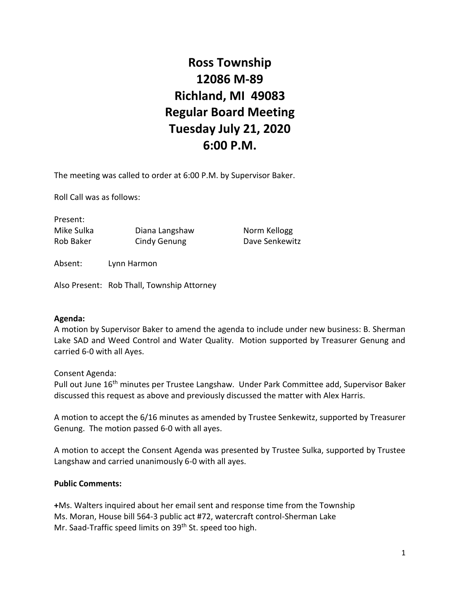# **Ross Township 12086 M-89 Richland, MI 49083 Regular Board Meeting Tuesday July 21, 2020 6:00 P.M.**

The meeting was called to order at 6:00 P.M. by Supervisor Baker.

Roll Call was as follows:

Present: Mike Sulka **Diana Langshaw** Norm Kellogg Rob Baker Cindy Genung Dave Senkewitz

Absent: Lynn Harmon

Also Present: Rob Thall, Township Attorney

#### **Agenda:**

A motion by Supervisor Baker to amend the agenda to include under new business: B. Sherman Lake SAD and Weed Control and Water Quality. Motion supported by Treasurer Genung and carried 6-0 with all Ayes.

Consent Agenda:

Pull out June 16<sup>th</sup> minutes per Trustee Langshaw. Under Park Committee add, Supervisor Baker discussed this request as above and previously discussed the matter with Alex Harris.

A motion to accept the 6/16 minutes as amended by Trustee Senkewitz, supported by Treasurer Genung. The motion passed 6-0 with all ayes.

A motion to accept the Consent Agenda was presented by Trustee Sulka, supported by Trustee Langshaw and carried unanimously 6-0 with all ayes.

## **Public Comments:**

**+**Ms. Walters inquired about her email sent and response time from the Township Ms. Moran, House bill 564-3 public act #72, watercraft control-Sherman Lake Mr. Saad-Traffic speed limits on 39<sup>th</sup> St. speed too high.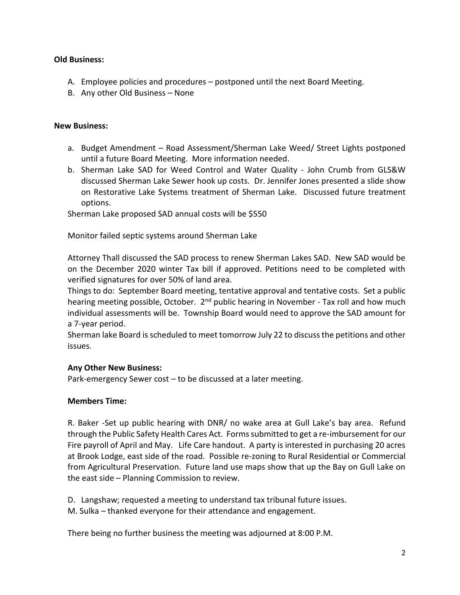### **Old Business:**

- A. Employee policies and procedures postponed until the next Board Meeting.
- B. Any other Old Business None

### **New Business:**

- a. Budget Amendment Road Assessment/Sherman Lake Weed/ Street Lights postponed until a future Board Meeting. More information needed.
- b. Sherman Lake SAD for Weed Control and Water Quality John Crumb from GLS&W discussed Sherman Lake Sewer hook up costs. Dr. Jennifer Jones presented a slide show on Restorative Lake Systems treatment of Sherman Lake. Discussed future treatment options.

Sherman Lake proposed SAD annual costs will be \$550

Monitor failed septic systems around Sherman Lake

Attorney Thall discussed the SAD process to renew Sherman Lakes SAD. New SAD would be on the December 2020 winter Tax bill if approved. Petitions need to be completed with verified signatures for over 50% of land area.

Things to do: September Board meeting, tentative approval and tentative costs. Set a public hearing meeting possible, October. 2<sup>nd</sup> public hearing in November - Tax roll and how much individual assessments will be. Township Board would need to approve the SAD amount for a 7-year period.

Sherman lake Board is scheduled to meet tomorrow July 22 to discuss the petitions and other issues.

## **Any Other New Business:**

Park-emergency Sewer cost – to be discussed at a later meeting.

## **Members Time:**

R. Baker -Set up public hearing with DNR/ no wake area at Gull Lake's bay area. Refund through the Public Safety Health Cares Act. Forms submitted to get a re-imbursement for our Fire payroll of April and May. Life Care handout. A party is interested in purchasing 20 acres at Brook Lodge, east side of the road. Possible re-zoning to Rural Residential or Commercial from Agricultural Preservation. Future land use maps show that up the Bay on Gull Lake on the east side – Planning Commission to review.

D. Langshaw; requested a meeting to understand tax tribunal future issues.

M. Sulka – thanked everyone for their attendance and engagement.

There being no further business the meeting was adjourned at 8:00 P.M.